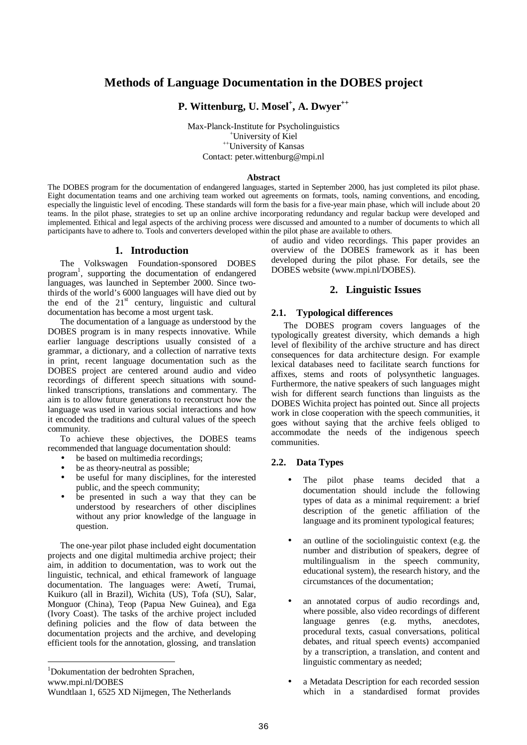# **Methods of Language Documentation in the DOBES project**

**P. Wittenburg, U. Mosel + , A. Dwyer ++**

Max-Planck-Institute for Psycholinguistics <sup>+</sup>University of Kiel ++University of Kansas Contact: peter.wittenburg@mpi.nl

#### **Abstract**

The DOBES program for the documentation of endangered languages, started in September 2000, has just completed its pilot phase. Eight documentation teams and one archiving team worked out agreements on formats, tools, naming conventions, and encoding, especially the linguistic level of encoding. These standards will form the basis for a five-year main phase, which will include about 20 teams. In the pilot phase, strategies to set up an online archive incorporating redundancy and regular backup were developed and implemented. Ethical and legal aspects of the archiving process were discussed and amounted to a number of documents to which all participants have to adhere to. Tools and converters developed within the pilot phase are available to others.

#### **1. Introduction**

The Volkswagen Foundation-sponsored DOBES program 1 , supporting the documentation of endangered languages, was launched in September 2000. Since twothirds of the world's 6000 languages will have died out by the end of the  $21<sup>st</sup>$  century, linguistic and cultural documentation has become a most urgent task.

The documentation of a language as understood by the DOBES program is in many respects innovative. While earlier language descriptions usually consisted of a grammar, a dictionary, and a collection of narrative texts in print, recent language documentation such as the DOBES project are centered around audio and video recordings of different speech situations with soundlinked transcriptions, translations and commentary. The aim is to allow future generations to reconstruct how the language was used in various social interactions and how it encoded the traditions and cultural values of the speech community.

To achieve these objectives, the DOBES teams recommended that language documentation should:

- be based on multimedia recordings;
- be as theory-neutral as possible;
- be useful for many disciplines, for the interested public, and the speech community;
- be presented in such a way that they can be understood by researchers of other disciplines without any prior knowledge of the language in question.

The one-year pilot phase included eight documentation projects and one digital multimedia archive project; their aim, in addition to documentation, was to work out the linguistic, technical, and ethical framework of language documentation. The languages were: Awetí, Trumai, Kuikuro (all in Brazil), Wichita (US), Tofa (SU), Salar, Monguor (China), Teop (Papua New Guinea), and Ega (Ivory Coast). The tasks of the archive project included defining policies and the flow of data between the documentation projects and the archive, and developing efficient tools for the annotation, glossing, and translation

<sup>1</sup>Dokumentation der bedrohten Sprachen,

www.mpi.nl/DOBES

 $\overline{a}$ 

of audio and video recordings. This paper provides an overview of the DOBES framework as it has been developed during the pilot phase. For details, see the DOBES website (www.mpi.nl/DOBES).

### **2. Linguistic Issues**

#### **2.1. Typological differences**

The DOBES program covers languages of the typologically greatest diversity, which demands a high level of flexibility of the archive structure and has direct consequences for data architecture design. For example lexical databases need to facilitate search functions for affixes, stems and roots of polysynthetic languages. Furthermore, the native speakers of such languages might wish for different search functions than linguists as the DOBES Wichita project has pointed out. Since all projects work in close cooperation with the speech communities, it goes without saying that the archive feels obliged to accommodate the needs of the indigenous speech communities.

#### **2.2. Data Types**

- The pilot phase teams decided that a documentation should include the following types of data as a minimal requirement: a brief description of the genetic affiliation of the language and its prominent typological features;
- an outline of the sociolinguistic context (e.g. the number and distribution of speakers, degree of multilingualism in the speech community, educational system), the research history, and the circumstances of the documentation;
- an annotated corpus of audio recordings and, where possible, also video recordings of different language genres (e.g. myths, anecdotes, procedural texts, casual conversations, political debates, and ritual speech events) accompanied by a transcription, a translation, and content and linguistic commentary as needed;
- a Metadata Description for each recorded session which in a standardised format provides

Wundtlaan 1, 6525 XD Nijmegen, The Netherlands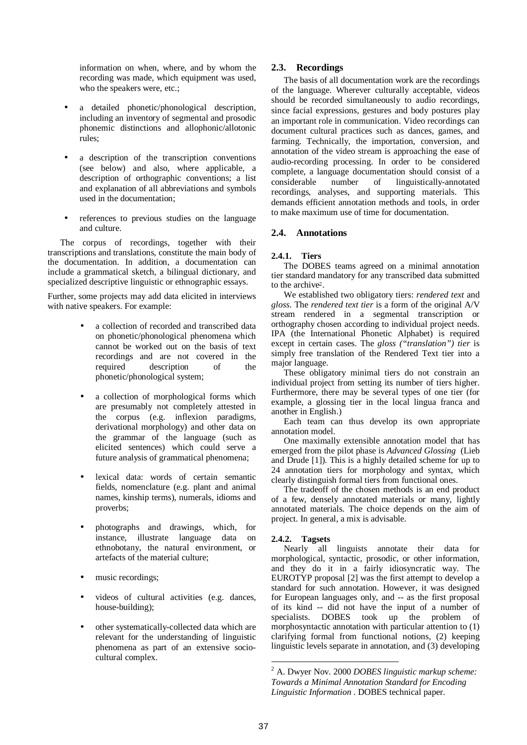information on when, where, and by whom the recording was made, which equipment was used, who the speakers were, etc.;

- a detailed phonetic/phonological description, including an inventory of segmental and prosodic phonemic distinctions and allophonic/allotonic rules;
- a description of the transcription conventions (see below) and also, where applicable, a description of orthographic conventions; a list and explanation of all abbreviations and symbols used in the documentation;
- references to previous studies on the language and culture.

The corpus of recordings, together with their transcriptions and translations, constitute the main body of the documentation. In addition, a documentation can include a grammatical sketch, a bilingual dictionary, and specialized descriptive linguistic or ethnographic essays.

Further, some projects may add data elicited in interviews with native speakers. For example:

- a collection of recorded and transcribed data on phonetic/phonological phenomena which cannot be worked out on the basis of text recordings and are not covered in the required description of the phonetic/phonological system;
- a collection of morphological forms which are presumably not completely attested in the corpus (e.g. inflexion paradigms, derivational morphology) and other data on the grammar of the language (such as elicited sentences) which could serve a future analysis of grammatical phenomena;
- lexical data: words of certain semantic fields, nomenclature (e.g. plant and animal names, kinship terms), numerals, idioms and proverbs;
- photographs and drawings, which, for instance, illustrate language data on ethnobotany, the natural environment, or artefacts of the material culture;
- music recordings;
- videos of cultural activities (e.g. dances, house-building);
- other systematically-collected data which are relevant for the understanding of linguistic phenomena as part of an extensive sociocultural complex.

# **2.3. Recordings**

The basis of all documentation work are the recordings of the language. Wherever culturally acceptable, videos should be recorded simultaneously to audio recordings, since facial expressions, gestures and body postures play an important role in communication. Video recordings can document cultural practices such as dances, games, and farming. Technically, the importation, conversion, and annotation of the video stream is approaching the ease of audio-recording processing. In order to be considered complete, a language documentation should consist of a considerable number of linguistically-annotated recordings, analyses, and supporting materials. This demands efficient annotation methods and tools, in order to make maximum use of time for documentation.

# **2.4. Annotations**

# **2.4.1. Tiers**

The DOBES teams agreed on a minimal annotation tier standard mandatory for any transcribed data submitted to the archive .

We established two obligatory tiers: *rendered text* and *gloss*. The *rendered text tier* is a form of the original A/V stream rendered in a segmental transcription or orthography chosen according to individual project needs. IPA (the International Phonetic Alphabet) is required except in certain cases. The *gloss ("translation") tier* is simply free translation of the Rendered Text tier into a major language.

These obligatory minimal tiers do not constrain an individual project from setting its number of tiers higher. Furthermore, there may be several types of one tier (for example, a glossing tier in the local lingua franca and another in English.)

Each team can thus develop its own appropriate annotation model.

One maximally extensible annotation model that has emerged from the pilot phase is *Advanced Glossing* (Lieb and Drude [1]). This is a highly detailed scheme for up to 24 annotation tiers for morphology and syntax, which clearly distinguish formal tiers from functional ones.

The tradeoff of the chosen methods is an end product of a few, densely annotated materials or many, lightly annotated materials. The choice depends on the aim of project. In general, a mix is advisable.

# **2.4.2. Tagsets**

Nearly all linguists annotate their data for morphological, syntactic, prosodic, or other information, and they do it in a fairly idiosyncratic way. The EUROTYP proposal [2] was the first attempt to develop a standard for such annotation. However, it was designed for European languages only, and -- as the first proposal of its kind -- did not have the input of a number of specialists. DOBES took up the problem of morphosyntactic annotation with particular attention to (1) clarifying formal from functional notions, (2) keeping linguistic levels separate in annotation, and (3) developing

 $\overline{a}$ <sup>2</sup> A. Dwyer Nov. 2000 *DOBES linguistic markup scheme: Towards a Minimal Annotation Standard for Encoding Linguistic Information* . DOBES technical paper.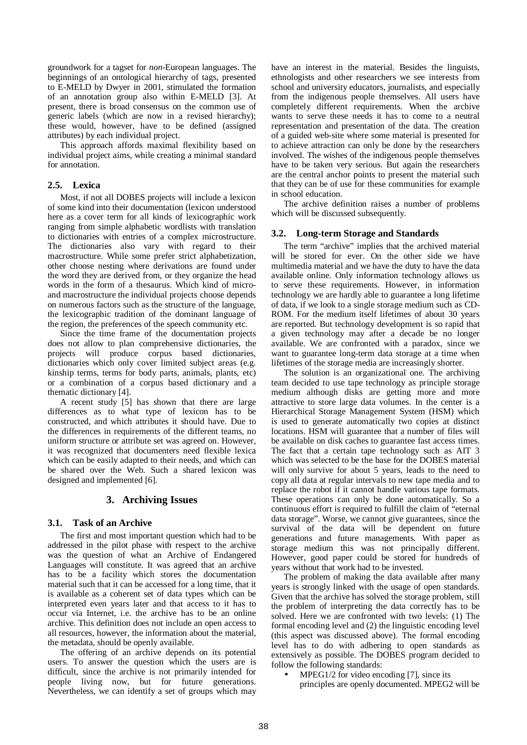groundwork for a tagset for *non*-European languages. The beginnings of an ontological hierarchy of tags, presented to E-MELD by Dwyer in 2001, stimulated the formation of an annotation group also within E-MELD [3]. At present, there is broad consensus on the common use of generic labels (which are now in a revised hierarchy); these would, however, have to be defined (assigned attributes) by each individual project.

This approach affords maximal flexibility based on individual project aims, while creating a minimal standard for annotation.

### **2.5. Lexica**

Most, if not all DOBES projects will include a lexicon of some kind into their documentation (lexicon understood here as a cover term for all kinds of lexicographic work ranging from simple alphabetic wordlists with translation to dictionaries with entries of a complex microstructure. The dictionaries also vary with regard to their macrostructure. While some prefer strict alphabetization, other choose nesting where derivations are found under the word they are derived from, or they organize the head words in the form of a thesaurus. Which kind of microand macrostructure the individual projects choose depends on numerous factors such as the structure of the language, the lexicographic tradition of the dominant language of the region, the preferences of the speech community etc.

Since the time frame of the documentation projects does not allow to plan comprehensive dictionaries, the projects will produce corpus based dictionaries, dictionaries which only cover limited subject areas (e.g. kinship terms, terms for body parts, animals, plants, etc) or a combination of a corpus based dictionary and a thematic dictionary [4].

A recent study [5] has shown that there are large differences as to what type of lexicon has to be constructed, and which attributes it should have. Due to the differences in requirements of the different teams, no uniform structure or attribute set was agreed on. However, it was recognized that documenters need flexible lexica which can be easily adapted to their needs, and which can be shared over the Web. Such a shared lexicon was designed and implemented [6].

# **3. Archiving Issues**

#### **3.1. Task of an Archive**

The first and most important question which had to be addressed in the pilot phase with respect to the archive was the question of what an Archive of Endangered Languages will constitute. It was agreed that an archive has to be a facility which stores the documentation material such that it can be accessed for a long time, that it is available as a coherent set of data types which can be interpreted even years later and that access to it has to occur via Internet, i.e. the archive has to be an online archive. This definition does not include an open access to all resources, however, the information about the material, the metadata, should be openly available.

The offering of an archive depends on its potential users. To answer the question which the users are is difficult, since the archive is not primarily intended for people living now, but for future generations. Nevertheless, we can identify a set of groups which may have an interest in the material. Besides the linguists, ethnologists and other researchers we see interests from school and university educators, journalists, and especially from the indigenous people themselves. All users have completely different requirements. When the archive wants to serve these needs it has to come to a neutral representation and presentation of the data. The creation of a guided web-site where some material is presented for to achieve attraction can only be done by the researchers involved. The wishes of the indigenous people themselves have to be taken very serious. But again the researchers are the central anchor points to present the material such that they can be of use for these communities for example in school education.

The archive definition raises a number of problems which will be discussed subsequently.

#### **3.2. Long-term Storage and Standards**

The term "archive" implies that the archived material will be stored for ever. On the other side we have multimedia material and we have the duty to have the data available online. Only information technology allows us to serve these requirements. However, in information technology we are hardly able to guarantee a long lifetime of data, if we look to a single storage medium such as CD-ROM. For the medium itself lifetimes of about 30 years are reported. But technology development is so rapid that a given technology may after a decade be no longer available. We are confronted with a paradox, since we want to guarantee long-term data storage at a time when lifetimes of the storage media are increasingly shorter.

The solution is an organizational one. The archiving team decided to use tape technology as principle storage medium although disks are getting more and more attractive to store large data volumes. In the center is a Hierarchical Storage Management System (HSM) which is used to generate automatically two copies at distinct locations. HSM will guarantee that a number of files will be available on disk caches to guarantee fast access times. The fact that a certain tape technology such as AIT 3 which was selected to be the base for the DOBES material will only survive for about 5 years, leads to the need to copy all data at regular intervals to new tape media and to replace the robot if it cannot handle various tape formats. These operations can only be done automatically. So a continuous effort is required to fulfill the claim of "eternal data storage". Worse, we cannot give guarantees, since the survival of the data will be dependent on future generations and future managements. With paper as storage medium this was not principally different. However, good paper could be stored for hundreds of years without that work had to be invested.

The problem of making the data available after many years is strongly linked with the usage of open standards. Given that the archive has solved the storage problem, still the problem of interpreting the data correctly has to be solved. Here we are confronted with two levels: (1) The formal encoding level and (2) the linguistic encoding level (this aspect was discussed above). The formal encoding level has to do with adhering to open standards as extensively as possible. The DOBES program decided to follow the following standards:

 $MPEG1/2$  for video encoding [7], since its principles are openly documented. MPEG2 will be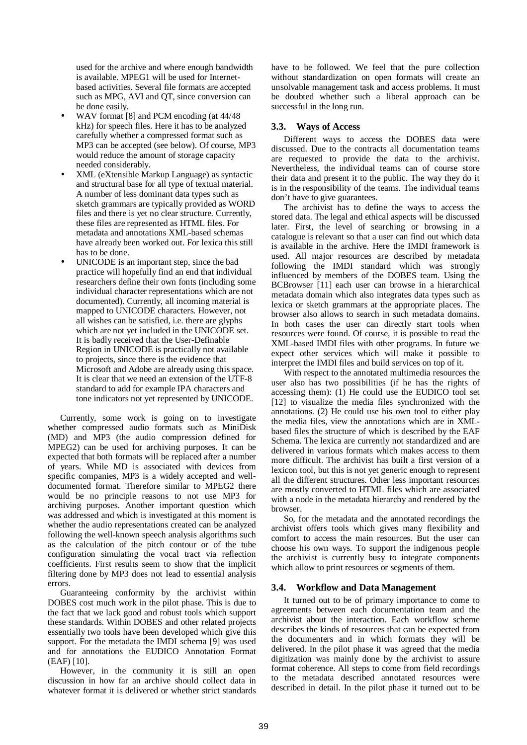used for the archive and where enough bandwidth is available. MPEG1 will be used for Internetbased activities. Several file formats are accepted such as MPG, AVI and QT, since conversion can be done easily.

- WAV format [8] and PCM encoding (at 44/48 kHz) for speech files. Here it has to be analyzed carefully whether a compressed format such as MP3 can be accepted (see below). Of course, MP3 would reduce the amount of storage capacity needed considerably.
- XML (eXtensible Markup Language) as syntactic and structural base for all type of textual material. A number of less dominant data types such as sketch grammars are typically provided as WORD files and there is yet no clear structure. Currently, these files are represented as HTML files. For metadata and annotations XML-based schemas have already been worked out. For lexica this still has to be done.
- UNICODE is an important step, since the bad practice will hopefully find an end that individual researchers define their own fonts (including some individual character representations which are not documented). Currently, all incoming material is mapped to UNICODE characters. However, not all wishes can be satisfied, i.e. there are glyphs which are not yet included in the UNICODE set. It is badly received that the User-Definable Region in UNICODE is practically not available to projects, since there is the evidence that Microsoft and Adobe are already using this space. It is clear that we need an extension of the UTF-8 standard to add for example IPA characters and tone indicators not yet represented by UNICODE.

Currently, some work is going on to investigate whether compressed audio formats such as MiniDisk (MD) and MP3 (the audio compression defined for MPEG2) can be used for archiving purposes. It can be expected that both formats will be replaced after a number of years. While MD is associated with devices from specific companies, MP3 is a widely accepted and welldocumented format. Therefore similar to MPEG2 there would be no principle reasons to not use MP3 for archiving purposes. Another important question which was addressed and which is investigated at this moment is whether the audio representations created can be analyzed following the well-known speech analysis algorithms such as the calculation of the pitch contour or of the tube configuration simulating the vocal tract via reflection coefficients. First results seem to show that the implicit filtering done by MP3 does not lead to essential analysis errors.

Guaranteeing conformity by the archivist within DOBES cost much work in the pilot phase. This is due to the fact that we lack good and robust tools which support these standards. Within DOBES and other related projects essentially two tools have been developed which give this support. For the metadata the IMDI schema [9] was used and for annotations the EUDICO Annotation Format (EAF) [10].

However, in the community it is still an open discussion in how far an archive should collect data in whatever format it is delivered or whether strict standards

have to be followed. We feel that the pure collection without standardization on open formats will create an unsolvable management task and access problems. It must be doubted whether such a liberal approach can be successful in the long run.

# **3.3. Ways of Access**

Different ways to access the DOBES data were discussed. Due to the contracts all documentation teams are requested to provide the data to the archivist. Nevertheless, the individual teams can of course store their data and present it to the public. The way they do it is in the responsibility of the teams. The individual teams don't have to give guarantees.

The archivist has to define the ways to access the stored data. The legal and ethical aspects will be discussed later. First, the level of searching or browsing in a catalogue is relevant so that a user can find out which data is available in the archive. Here the IMDI framework is used. All major resources are described by metadata following the IMDI standard which was strongly influenced by members of the DOBES team. Using the BCBrowser [11] each user can browse in a hierarchical metadata domain which also integrates data types such as lexica or sketch grammars at the appropriate places. The browser also allows to search in such metadata domains. In both cases the user can directly start tools when resources were found. Of course, it is possible to read the XML-based IMDI files with other programs. In future we expect other services which will make it possible to interpret the IMDI files and build services on top of it.

With respect to the annotated multimedia resources the user also has two possibilities (if he has the rights of accessing them): (1) He could use the EUDICO tool set [12] to visualize the media files synchronized with the annotations. (2) He could use his own tool to either play the media files, view the annotations which are in XMLbased files the structure of which is described by the EAF Schema. The lexica are currently not standardized and are delivered in various formats which makes access to them more difficult. The archivist has built a first version of a lexicon tool, but this is not yet generic enough to represent all the different structures. Other less important resources are mostly converted to HTML files which are associated with a node in the metadata hierarchy and rendered by the browser.

So, for the metadata and the annotated recordings the archivist offers tools which gives many flexibility and comfort to access the main resources. But the user can choose his own ways. To support the indigenous people the archivist is currently busy to integrate components which allow to print resources or segments of them.

# **3.4. Workflow and Data Management**

It turned out to be of primary importance to come to agreements between each documentation team and the archivist about the interaction. Each workflow scheme describes the kinds of resources that can be expected from the documenters and in which formats they will be delivered. In the pilot phase it was agreed that the media digitization was mainly done by the archivist to assure format coherence. All steps to come from field recordings to the metadata described annotated resources were described in detail. In the pilot phase it turned out to be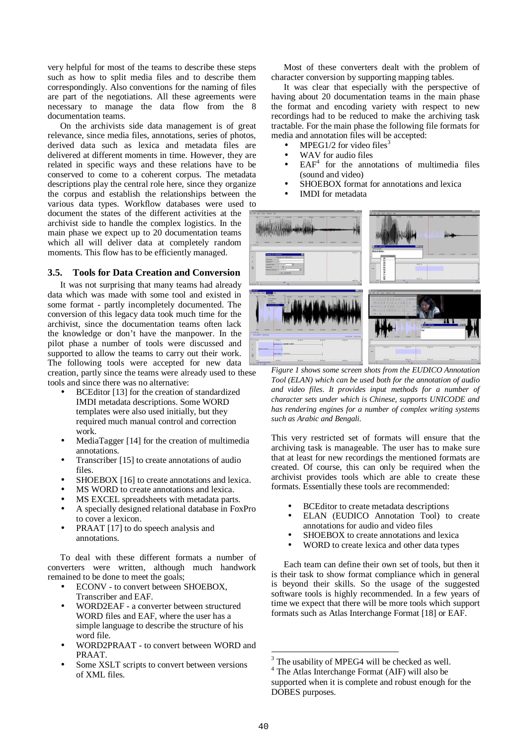very helpful for most of the teams to describe these steps such as how to split media files and to describe them correspondingly. Also conventions for the naming of files are part of the negotiations. All these agreements were necessary to manage the data flow from the 8 documentation teams.

On the archivists side data management is of great relevance, since media files, annotations, series of photos, derived data such as lexica and metadata files are delivered at different moments in time. However, they are related in specific ways and these relations have to be conserved to come to a coherent corpus. The metadata descriptions play the central role here, since they organize the corpus and establish the relationships between the various data types. Workflow databases were used to

document the states of the different activities at the archivist side to handle the complex logistics. In the main phase we expect up to 20 documentation teams which all will deliver data at completely random moments. This flow has to be efficiently managed.

### **3.5. Tools for Data Creation and Conversion**

It was not surprising that many teams had already data which was made with some tool and existed in some format - partly incompletely documented. The conversion of this legacy data took much time for the archivist, since the documentation teams often lack the knowledge or don't have the manpower. In the pilot phase a number of tools were discussed and supported to allow the teams to carry out their work. The following tools were accepted for new data creation, partly since the teams were already used to these tools and since there was no alternative:

- BCEditor [13] for the creation of standardized IMDI metadata descriptions. Some WORD templates were also used initially, but they required much manual control and correction work.
- MediaTagger [14] for the creation of multimedia annotations.
- Transcriber [15] to create annotations of audio files.
- SHOEBOX [16] to create annotations and lexica.
- MS WORD to create annotations and lexica.
- MS EXCEL spreadsheets with metadata parts.
- A specially designed relational database in FoxPro to cover a lexicon.
- PRAAT [17] to do speech analysis and annotations.

To deal with these different formats a number of converters were written, although much handwork remained to be done to meet the goals;

- ECONV to convert between SHOEBOX, Transcriber and EAF.
- WORD2EAF a converter between structured WORD files and EAF, where the user has a simple language to describe the structure of his word file.
- WORD2PRAAT to convert between WORD and PRAAT.
- Some XSLT scripts to convert between versions of XML files.

Most of these converters dealt with the problem of character conversion by supporting mapping tables.

It was clear that especially with the perspective of having about 20 documentation teams in the main phase the format and encoding variety with respect to new recordings had to be reduced to make the archiving task tractable. For the main phase the following file formats for media and annotation files will be accepted:

- MPEG1/2 for video files<sup>3</sup>
- WAV for audio files
- $\bullet$  EAF<sup>4</sup> for the annotations of multimedia files (sound and video)
- SHOEBOX format for annotations and lexica
- IMDI for metadata



*Figure 1 shows some screen shots from the EUDICO Annotation Tool (ELAN) which can be used both for the annotation of audio and video files. It provides input methods for a number of character sets under which is Chinese, supports UNICODE and has rendering engines for a number of complex writing systems such as Arabic and Bengali.*

This very restricted set of formats will ensure that the archiving task is manageable. The user has to make sure that at least for new recordings the mentioned formats are created. Of course, this can only be required when the archivist provides tools which are able to create these formats. Essentially these tools are recommended:

- BCEditor to create metadata descriptions
- ELAN (EUDICO Annotation Tool) to create annotations for audio and video files
- SHOEBOX to create annotations and lexica
- WORD to create lexica and other data types

Each team can define their own set of tools, but then it is their task to show format compliance which in general is beyond their skills. So the usage of the suggested software tools is highly recommended. In a few years of time we expect that there will be more tools which support formats such as Atlas Interchange Format [18] or EAF.

 $\overline{a}$ 

<sup>&</sup>lt;sup>3</sup> The usability of MPEG4 will be checked as well.

<sup>4</sup> The Atlas Interchange Format (AIF) will also be supported when it is complete and robust enough for the DOBES purposes.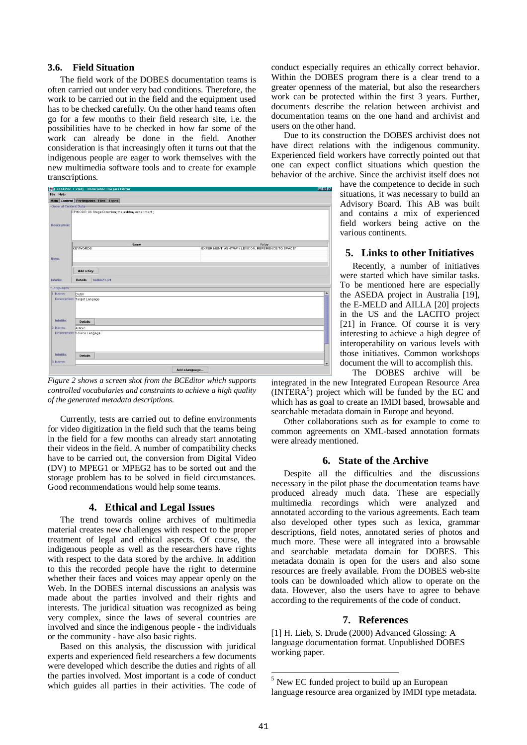# **3.6. Field Situation**

The field work of the DOBES documentation teams is often carried out under very bad conditions. Therefore, the work to be carried out in the field and the equipment used has to be checked carefully. On the other hand teams often go for a few months to their field research site, i.e. the possibilities have to be checked in how far some of the work can already be done in the field. Another consideration is that increasingly often it turns out that the indigenous people are eager to work themselves with the new multimedia software tools and to create for example transcriptions.



*Figure 2 shows a screen shot from the BCEditor which supports controlled vocabularies and constraints to achieve a high quality of the generated metadata descriptions.*

Currently, tests are carried out to define environments for video digitization in the field such that the teams being in the field for a few months can already start annotating their videos in the field. A number of compatibility checks have to be carried out, the conversion from Digital Video (DV) to MPEG1 or MPEG2 has to be sorted out and the storage problem has to be solved in field circumstances. Good recommendations would help some teams.

# **4. Ethical and Legal Issues**

The trend towards online archives of multimedia material creates new challenges with respect to the proper treatment of legal and ethical aspects. Of course, the indigenous people as well as the researchers have rights with respect to the data stored by the archive. In addition to this the recorded people have the right to determine whether their faces and voices may appear openly on the Web. In the DOBES internal discussions an analysis was made about the parties involved and their rights and interests. The juridical situation was recognized as being very complex, since the laws of several countries are involved and since the indigenous people - the individuals or the community - have also basic rights.

Based on this analysis, the discussion with juridical experts and experienced field researchers a few documents were developed which describe the duties and rights of all the parties involved. Most important is a code of conduct which guides all parties in their activities. The code of conduct especially requires an ethically correct behavior. Within the DOBES program there is a clear trend to a greater openness of the material, but also the researchers work can be protected within the first 3 years. Further, documents describe the relation between archivist and documentation teams on the one hand and archivist and users on the other hand.

Due to its construction the DOBES archivist does not have direct relations with the indigenous community. Experienced field workers have correctly pointed out that one can expect conflict situations which question the behavior of the archive. Since the archivist itself does not

> have the competence to decide in such situations, it was necessary to build an Advisory Board. This AB was built and contains a mix of experienced field workers being active on the various continents.

# **5. Links to other Initiatives**

Recently, a number of initiatives were started which have similar tasks. To be mentioned here are especially the ASEDA project in Australia [19], the E-MELD and AILLA [20] projects in the US and the LACITO project [21] in France. Of course it is very interesting to achieve a high degree of interoperability on various levels with those initiatives. Common workshops document the will to accomplish this.

The DOBES archive will be

integrated in the new Integrated European Resource Area (INTERA 5 ) project which will be funded by the EC and which has as goal to create an IMDI based, browsable and searchable metadata domain in Europe and beyond.

Other collaborations such as for example to come to common agreements on XML-based annotation formats were already mentioned.

#### **6. State of the Archive**

Despite all the difficulties and the discussions necessary in the pilot phase the documentation teams have produced already much data. These are especially multimedia recordings which were analyzed and annotated according to the various agreements. Each team also developed other types such as lexica, grammar descriptions, field notes, annotated series of photos and much more. These were all integrated into a browsable and searchable metadata domain for DOBES. This metadata domain is open for the users and also some resources are freely available. From the DOBES web-site tools can be downloaded which allow to operate on the data. However, also the users have to agree to behave according to the requirements of the code of conduct.

#### **7. References**

[1] H. Lieb, S. Drude (2000) Advanced Glossing: A language documentation format. Unpublished DOBES working paper.

 $\overline{a}$ 

<sup>5</sup> New EC funded project to build up an European language resource area organized by IMDI type metadata.